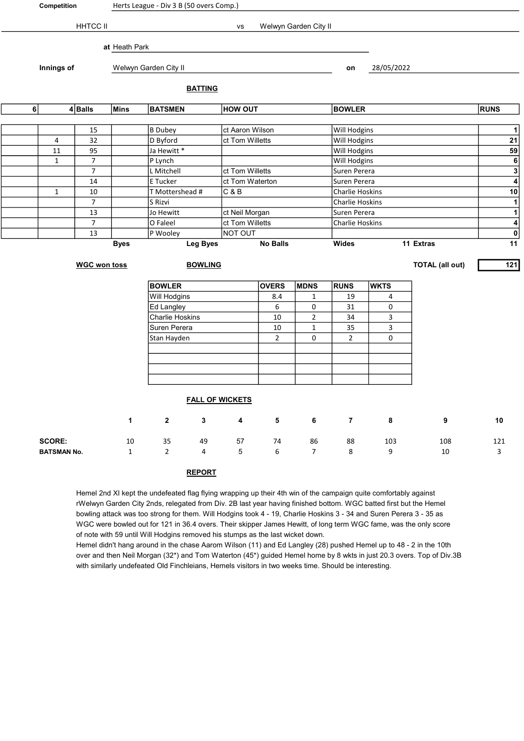| Competition    |                                |                     | Herts League - Div 3 B (50 overs Comp.) |                        |                 |                         |                 |                       |                         |                  |                        |                                           |  |
|----------------|--------------------------------|---------------------|-----------------------------------------|------------------------|-----------------|-------------------------|-----------------|-----------------------|-------------------------|------------------|------------------------|-------------------------------------------|--|
|                |                                | <b>HHTCC II</b>     |                                         |                        |                 | vs                      |                 | Welwyn Garden City II |                         |                  |                        |                                           |  |
|                |                                |                     |                                         |                        |                 |                         |                 |                       |                         |                  |                        |                                           |  |
|                |                                |                     | at Heath Park                           |                        |                 |                         |                 |                       |                         |                  |                        |                                           |  |
|                | Innings of                     |                     |                                         | Welwyn Garden City II  |                 |                         |                 |                       |                         | 28/05/2022<br>on |                        |                                           |  |
|                |                                |                     |                                         |                        | <b>BATTING</b>  |                         |                 |                       |                         |                  |                        |                                           |  |
|                | 6 <br>$4 $ Balls               |                     | <b>Mins</b><br><b>BATSMEN</b>           |                        |                 | <b>HOW OUT</b>          |                 |                       | <b>BOWLER</b>           |                  |                        | <b>RUNS</b>                               |  |
|                |                                |                     |                                         |                        |                 |                         |                 |                       |                         |                  |                        |                                           |  |
|                |                                | 15                  |                                         | B Dubey                |                 | ct Aaron Wilson         |                 |                       | <b>Will Hodgins</b>     |                  |                        | $\mathbf{1}$<br>${\bf 21}$                |  |
|                | 4<br>32                        |                     | D Byford                                |                        | ct Tom Willetts |                         |                 |                       | Will Hodgins            |                  |                        |                                           |  |
|                | 11<br>95                       |                     |                                         | Ja Hewitt <sup>*</sup> |                 |                         |                 |                       |                         | Will Hodgins     |                        |                                           |  |
|                | $\overline{7}$<br>$\mathbf{1}$ |                     |                                         | P Lynch                |                 |                         |                 |                       | Will Hodgins            |                  |                        |                                           |  |
|                | $\overline{7}$                 |                     |                                         | L Mitchell             | ct Tom Willetts |                         |                 |                       | Suren Perera            |                  |                        |                                           |  |
|                | 14                             |                     |                                         | E Tucker               | ct Tom Waterton |                         |                 | Suren Perera          | $\overline{4}$          |                  |                        |                                           |  |
|                | $\mathbf{1}$                   | 10                  |                                         | T Mottershead #        |                 | C & B                   |                 |                       | Charlie Hoskins         |                  |                        | 10                                        |  |
|                | $\overline{7}$<br>S Rizvi      |                     |                                         |                        |                 |                         |                 | Charlie Hoskins       | $\overline{\mathbf{1}}$ |                  |                        |                                           |  |
|                | 13<br>Jo Hewitt                |                     |                                         |                        |                 | ct Neil Morgan          |                 |                       | Suren Perera            |                  |                        | $\overline{1}$<br>$\overline{\mathbf{4}}$ |  |
| $\overline{7}$ |                                |                     |                                         | O Faleel               | ct Tom Willetts |                         |                 |                       | Charlie Hoskins         |                  |                        |                                           |  |
| 13             |                                |                     |                                         | P Wooley               |                 | NOT OUT                 |                 |                       |                         |                  |                        | $\pmb{0}$                                 |  |
|                |                                |                     | <b>Byes</b>                             |                        | <b>Leg Byes</b> |                         | <b>No Balls</b> |                       | Wides                   |                  | 11 Extras              | 11                                        |  |
|                |                                | <b>WGC won toss</b> |                                         |                        | <b>BOWLING</b>  |                         |                 |                       |                         |                  | <b>TOTAL (all out)</b> | $121$                                     |  |
|                |                                |                     |                                         | <b>BOWLER</b>          |                 |                         | <b>OVERS</b>    | <b>MDNS</b>           | <b>RUNS</b>             | <b>WKTS</b>      |                        |                                           |  |
|                |                                |                     |                                         | Will Hodgins           |                 |                         | 8.4             | 1                     | 19                      | 4                |                        |                                           |  |
|                |                                |                     |                                         | Ed Langley             |                 |                         | 6               | 0                     | 31                      | 0                |                        |                                           |  |
|                |                                |                     |                                         | <b>Charlie Hoskins</b> |                 |                         | $10\,$          | $\overline{2}$        | 34                      | 3                |                        |                                           |  |
|                |                                |                     |                                         | Suren Perera           |                 |                         | 10              | $\mathbf{1}$          | 35                      | 3                |                        |                                           |  |
|                |                                |                     |                                         | Stan Hayden            |                 |                         | $\overline{2}$  | 0                     | $\overline{2}$          | 0                |                        |                                           |  |
|                |                                |                     |                                         |                        |                 |                         |                 |                       |                         |                  |                        |                                           |  |
|                |                                |                     |                                         |                        |                 |                         |                 |                       |                         |                  |                        |                                           |  |
|                |                                |                     |                                         |                        |                 |                         |                 |                       |                         |                  |                        |                                           |  |
|                |                                |                     |                                         |                        |                 |                         |                 |                       |                         |                  |                        |                                           |  |
|                |                                |                     |                                         |                        |                 | <b>FALL OF WICKETS</b>  |                 |                       |                         |                  |                        |                                           |  |
|                |                                |                     | $\mathbf{1}$                            | $\mathbf{2}$           | $\mathbf 3$     | $\overline{\mathbf{4}}$ | 5               | 6                     | $\overline{7}$          | 8                | 9                      | $10\,$                                    |  |
|                | <b>SCORE:</b>                  |                     | 10                                      | 35                     | 49              | 57                      | 74              | 86                    | 88                      | 103              | 108                    | 121                                       |  |
|                | <b>BATSMAN No.</b>             |                     | $\mathbf 1$                             | $\overline{2}$         | 4               | 5                       | 6               | $\overline{7}$        | 8                       | 9                | $10\,$                 | 3                                         |  |
|                |                                |                     |                                         |                        | <b>REPORT</b>   |                         |                 |                       |                         |                  |                        |                                           |  |

Hemel 2nd XI kept the undefeated flag flying wrapping up their 4th win of the campaign quite comfortably against rWelwyn Garden City 2nds, relegated from Div. 2B last year having finished bottom. WGC batted first but the Hemel bowling attack was too strong for them. Will Hodgins took 4 - 19, Charlie Hoskins 3 - 34 and Suren Perera 3 - 35 as WGC were bowled out for 121 in 36.4 overs. Their skipper James Hewitt, of long term WGC fame, was the only score of note with 59 until Will Hodgins removed his stumps as the last wicket down.

Hemel didn't hang around in the chase Aarom Wilson (11) and Ed Langley (28) pushed Hemel up to 48 - 2 in the 10th over and then Neil Morgan (32\*) and Tom Waterton (45\*) guided Hemel home by 8 wkts in just 20.3 overs. Top of Div.3B with similarly undefeated Old Finchleians, Hemels visitors in two weeks time. Should be interesting.